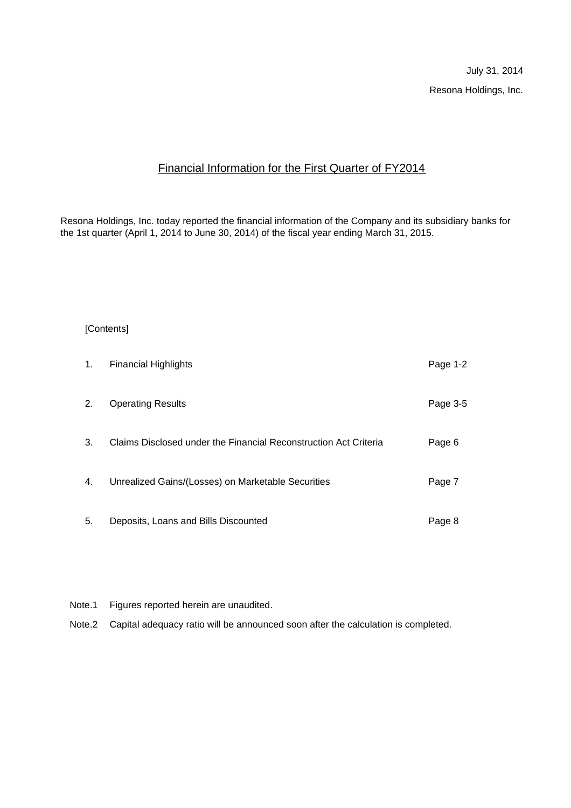July 31, 2014 Resona Holdings, Inc.

# Financial Information for the First Quarter of FY2014

Resona Holdings, Inc. today reported the financial information of the Company and its subsidiary banks for the 1st quarter (April 1, 2014 to June 30, 2014) of the fiscal year ending March 31, 2015.

#### [Contents]

| 1. | <b>Financial Highlights</b>                                      | Page 1-2 |
|----|------------------------------------------------------------------|----------|
| 2. | <b>Operating Results</b>                                         | Page 3-5 |
| 3. | Claims Disclosed under the Financial Reconstruction Act Criteria | Page 6   |
| 4. | Unrealized Gains/(Losses) on Marketable Securities               | Page 7   |
| 5. | Deposits, Loans and Bills Discounted                             | Page 8   |

- Note.1 Figures reported herein are unaudited.
- Note.2 Capital adequacy ratio will be announced soon after the calculation is completed.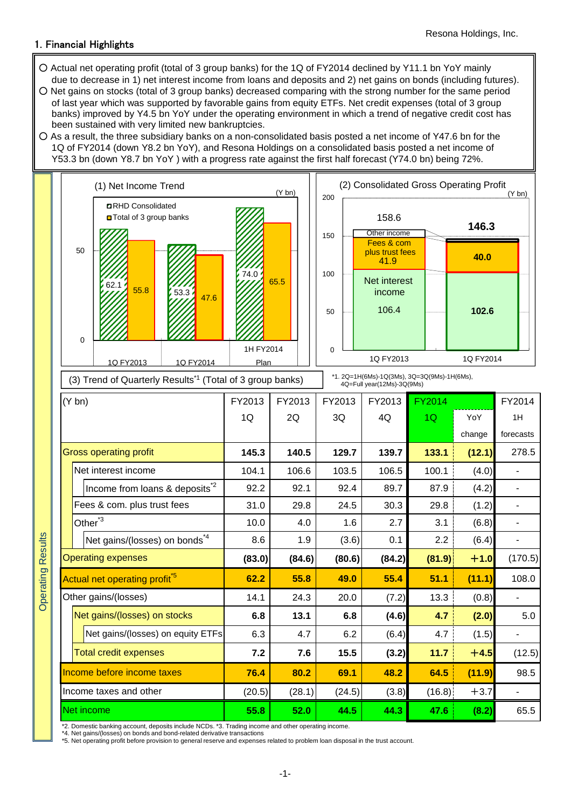## 1. Financial Highlights

- Actual net operating profit (total of 3 group banks) for the 1Q of FY2014 declined by Y11.1 bn YoY mainly due to decrease in 1) net interest income from loans and deposits and 2) net gains on bonds (including futures).
- Net gains on stocks (total of 3 group banks) decreased comparing with the strong number for the same period of last year which was supported by favorable gains from equity ETFs. Net credit expenses (total of 3 group banks) improved by Y4.5 bn YoY under the operating environment in which a trend of negative credit cost has been sustained with very limited new bankruptcies.
- As a result, the three subsidiary banks on a non-consolidated basis posted a net income of Y47.6 bn for the 1Q of FY2014 (down Y8.2 bn YoY), and Resona Holdings on a consolidated basis posted a net income of Y53.3 bn (down Y8.7 bn YoY ) with a progress rate against the first half forecast (Y74.0 bn) being 72%.



31.0 29.8 24.5 30.3 29.8 (1.2) - 10.0 4.0 1.6 2.7 3.1 (6.8) - 8.6 1.9 (3.6) 0.1 2.2 (6.4) -

**(83.0) (84.6) (80.6) (84.2) (81.9)** +**1.0** (170.5)

**62.2 55.8 49.0 55.4 51.1 (11.1)** 108.0

**6.8 13.1 6.8 (4.6) 4.7 (2.0)** 5.0

**7.2 7.6 15.5 (3.2) 11.7** +**4.5** (12.5)

14.1 24.3 20.0 (7.2) 13.3 (0.8) -

6.3 4.7 6.2 (6.4) 4.7 (1.5) -

**Operating Results** Operating Results

| <b>Income before income taxes</b>                                                                   | 76.4   | 80.2   | 69.1   | 48.2  | 64.5    | (11.9) | 98.5 |
|-----------------------------------------------------------------------------------------------------|--------|--------|--------|-------|---------|--------|------|
| Income taxes and other                                                                              | (20.5) | (28.1) | (24.5) | (3.8) | (16.8). | $+3.7$ |      |
| ∎Net income                                                                                         | 55.8   | 52.0   | 44.5   | 44.3  | 47.6    | (8.2)  | 65.5 |
| *2. Domestic banking account, deposits include NCDs, *3. Trading income and other operating income. |        |        |        |       |         |        |      |

\*2. Domestic banking account, deposits include NCDs. \*3. Trading income and other operating income. \*4. Net gains/(losses) on bonds and bond-related derivative transactions

Total credit expenses

Actual net operating profit<sup>\*5</sup>

Net gains/(losses) on stocks

Net gains/(losses) on equity ETFs

Net gains/(losses) on bonds<sup>\*4</sup>

Fees & com. plus trust fees

Operating expenses

Other<sup>\*3</sup>

Other gains/(losses)

\*5. Net operating profit before provision to general reserve and expenses related to problem loan disposal in the trust account.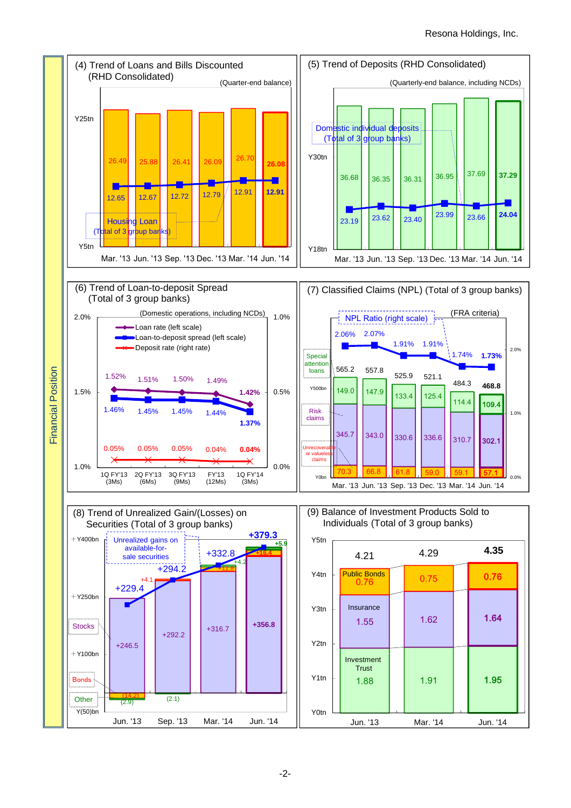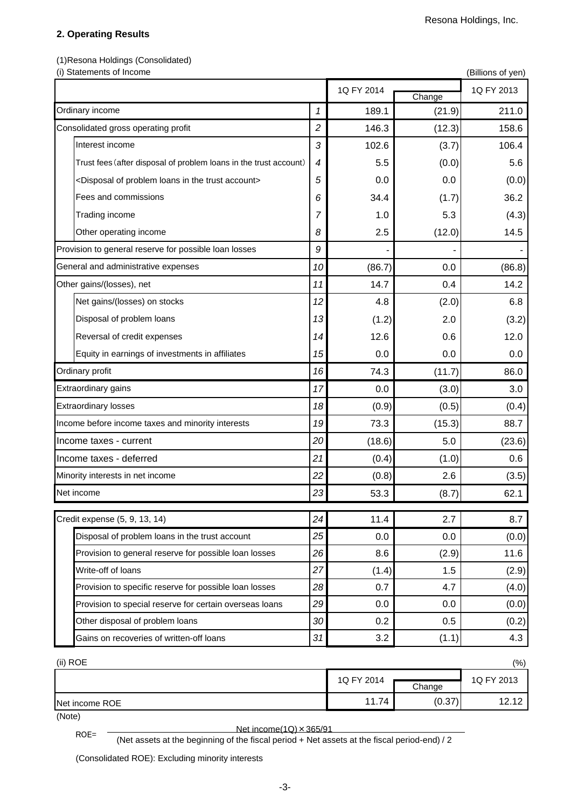### **2. Operating Results**

(1)Resona Holdings (Consolidated)

| (i) Statements of Income                                                         |                |            |        | (Billions of yen) |
|----------------------------------------------------------------------------------|----------------|------------|--------|-------------------|
|                                                                                  | Change         | 1Q FY 2013 |        |                   |
| Ordinary income                                                                  | 1              | 189.1      | (21.9) | 211.0             |
| Consolidated gross operating profit                                              | $\overline{c}$ | 146.3      | (12.3) | 158.6             |
| Interest income                                                                  | 3              | 102.6      | (3.7)  | 106.4             |
| Trust fees (after disposal of problem loans in the trust account)                | 4              | 5.5        | (0.0)  | 5.6               |
| <disposal account="" in="" loans="" of="" problem="" the="" trust=""></disposal> | 5              | 0.0        | 0.0    | (0.0)             |
| Fees and commissions                                                             | 6              | 34.4       | (1.7)  | 36.2              |
| Trading income                                                                   | 7              | 1.0        | 5.3    | (4.3)             |
| Other operating income                                                           | 8              | 2.5        | (12.0) | 14.5              |
| Provision to general reserve for possible loan losses                            | 9              |            |        |                   |
| General and administrative expenses                                              | 10             | (86.7)     | 0.0    | (86.8)            |
| Other gains/(losses), net                                                        | 11             | 14.7       | 0.4    | 14.2              |
| Net gains/(losses) on stocks                                                     | 12             | 4.8        | (2.0)  | 6.8               |
| Disposal of problem loans                                                        | 13             | (1.2)      | 2.0    | (3.2)             |
| Reversal of credit expenses                                                      | 14             | 12.6       | 0.6    | 12.0              |
| Equity in earnings of investments in affiliates                                  | 15             | 0.0        | 0.0    | 0.0               |
| Ordinary profit                                                                  | 16             | 74.3       | (11.7) | 86.0              |
| Extraordinary gains                                                              | 17             | 0.0        | (3.0)  | 3.0               |
| <b>Extraordinary losses</b>                                                      | 18             | (0.9)      | (0.5)  | (0.4)             |
| Income before income taxes and minority interests                                | 19             | 73.3       | (15.3) | 88.7              |
| Income taxes - current                                                           | 20             | (18.6)     | 5.0    | (23.6)            |
| Income taxes - deferred                                                          | 21             | (0.4)      | (1.0)  | 0.6               |
| Minority interests in net income                                                 | 22             | (0.8)      | 2.6    | (3.5)             |
| Net income                                                                       | 23             | 53.3       | (8.7)  | 62.1              |
| Credit expense (5, 9, 13, 14)                                                    | 24             | 11.4       | 2.7    | 8.7               |
| Disposal of problem loans in the trust account                                   | 25             | 0.0        | 0.0    | (0.0)             |
| Provision to general reserve for possible loan losses                            | 26             | 8.6        | (2.9)  | 11.6              |
| Write-off of loans                                                               | 27             | (1.4)      | 1.5    | (2.9)             |
| Provision to specific reserve for possible loan losses                           | 28             | 0.7        | 4.7    | (4.0)             |
| Provision to special reserve for certain overseas loans                          | 29             | 0.0        | 0.0    | (0.0)             |
| Other disposal of problem loans                                                  | 30             | 0.2        | 0.5    | (0.2)             |
| Gains on recoveries of written-off loans                                         | 31             | 3.2        | (1.1)  | 4.3               |
| (ii) ROE                                                                         |                |            |        | (%)               |
|                                                                                  |                | 1Q FY 2014 | Change | 1Q FY 2013        |
| Net income ROE                                                                   |                | 11.74      | (0.37) | 12.12             |

Net income ROE

(Note)

ROE= <br>(Net assets at the beginning of the fiscal period + Net assets at the fiscal period-end) / 2

(Consolidated ROE): Excluding minority interests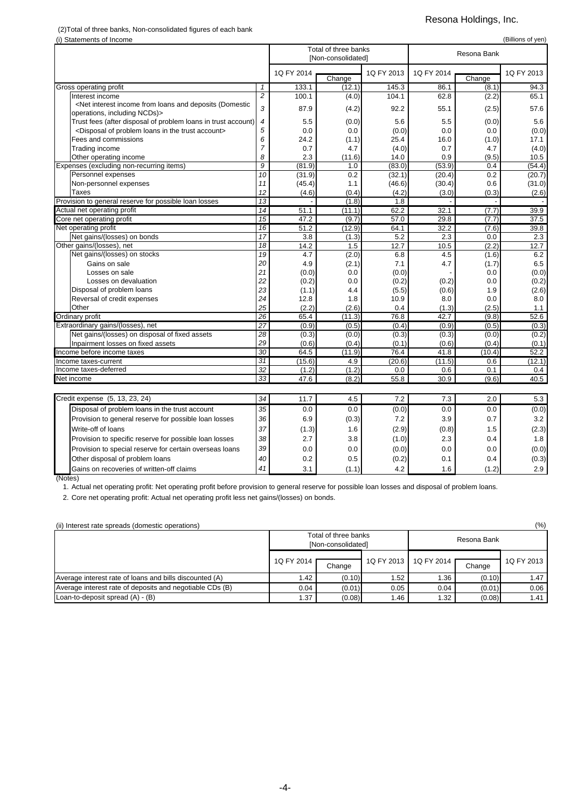# (2)Total of three banks, Non-consolidated figures of each bank

#### Resona Holdings, Inc.

| (i) Statements of Income<br>(Billions of yen)                                                                                                                                       |                 |            |                      |            |            |             |            |  |
|-------------------------------------------------------------------------------------------------------------------------------------------------------------------------------------|-----------------|------------|----------------------|------------|------------|-------------|------------|--|
|                                                                                                                                                                                     |                 |            | Total of three banks |            |            |             |            |  |
|                                                                                                                                                                                     |                 |            | [Non-consolidated]   |            |            | Resona Bank |            |  |
|                                                                                                                                                                                     |                 | 1Q FY 2014 |                      | 1Q FY 2013 | 1Q FY 2014 |             | 1Q FY 2013 |  |
|                                                                                                                                                                                     |                 |            | Change               |            |            | Change      |            |  |
| Gross operating profit                                                                                                                                                              | $\mathbf{1}$    | 133.1      | (12.1)               | 145.3      | 86.1       | (8.1)       | 94.3       |  |
| Interest income                                                                                                                                                                     | $\overline{c}$  | 100.1      | (4.0)                | 104.1      | 62.8       | (2.2)       | 65.1       |  |
| <net (domestic<="" and="" deposits="" from="" income="" interest="" loans="" td=""><td>3</td><td>87.9</td><td>(4.2)</td><td>92.2</td><td>55.1</td><td>(2.5)</td><td>57.6</td></net> | 3               | 87.9       | (4.2)                | 92.2       | 55.1       | (2.5)       | 57.6       |  |
| operations, including NCDs)>                                                                                                                                                        |                 |            |                      |            |            |             |            |  |
| Trust fees (after disposal of problem loans in trust account)                                                                                                                       | $\overline{4}$  | 5.5        | (0.0)                | 5.6        | 5.5        | (0.0)       | 5.6        |  |
| <disposal account="" in="" loans="" of="" problem="" the="" trust=""></disposal>                                                                                                    | 5               | 0.0        | 0.0                  | (0.0)      | 0.0        | 0.0         | (0.0)      |  |
| Fees and commissions                                                                                                                                                                | 6               | 24.2       | (1.1)                | 25.4       | 16.0       | (1.0)       | 17.1       |  |
| Trading income                                                                                                                                                                      | 7               | 0.7        | 4.7                  | (4.0)      | 0.7        | 4.7         | (4.0)      |  |
| Other operating income                                                                                                                                                              | 8               | 2.3        | (11.6)               | 14.0       | 0.9        | (9.5)       | 10.5       |  |
| Expenses (excluding non-recurring items)                                                                                                                                            | 9               | (81.9)     | 1.0                  | (83.0)     | (53.9)     | 0.4         | (54.4)     |  |
| Personnel expenses                                                                                                                                                                  | 10              | (31.9)     | 0.2                  | (32.1)     | (20.4)     | 0.2         | (20.7)     |  |
| Non-personnel expenses                                                                                                                                                              | 11              | (45.4)     | 1.1                  | (46.6)     | (30.4)     | 0.6         | (31.0)     |  |
| Taxes                                                                                                                                                                               | 12              | (4.6)      | (0.4)                | (4.2)      | (3.0)      | (0.3)       | (2.6)      |  |
| Provision to general reserve for possible loan losses                                                                                                                               | 13              |            | (1.8)                | 1.8        |            |             |            |  |
| Actual net operating profit                                                                                                                                                         | 14              | 51.1       | (11.1)               | 62.2       | 32.1       | (7.7)       | 39.9       |  |
| Core net operating profit                                                                                                                                                           | 15              | 47.2       | (9.7)                | 57.0       | 29.8       | (7.7)       | 37.5       |  |
| Net operating profit                                                                                                                                                                | 16              | 51.2       | (12.9)               | 64.1       | 32.2       | (7.6)       | 39.8       |  |
| Net gains/(losses) on bonds                                                                                                                                                         | $\overline{17}$ | 3.8        | (1.3)                | 5.2        | 2.3        | 0.0         | 2.3        |  |
| Other gains/(losses), net                                                                                                                                                           | 18              | 14.2       | 1.5                  | 12.7       | 10.5       | (2.2)       | 12.7       |  |
| Net gains/(losses) on stocks                                                                                                                                                        | 19              | 4.7        | (2.0)                | 6.8        | 4.5        | (1.6)       | 6.2        |  |
| Gains on sale                                                                                                                                                                       | 20              | 4.9        | (2.1)                | 7.1        | 4.7        | (1.7)       | 6.5        |  |
| Losses on sale                                                                                                                                                                      | 21              | (0.0)      | 0.0                  | (0.0)      |            | 0.0         | (0.0)      |  |
| Losses on devaluation                                                                                                                                                               | 22              | (0.2)      | 0.0                  | (0.2)      | (0.2)      | 0.0         | (0.2)      |  |
| Disposal of problem loans                                                                                                                                                           | 23              | (1.1)      | 4.4                  | (5.5)      | (0.6)      | 1.9         | (2.6)      |  |
| Reversal of credit expenses                                                                                                                                                         | 24              | 12.8       | 1.8                  | 10.9       | 8.0        | 0.0         | 8.0        |  |
| Other                                                                                                                                                                               | 25              | (2.2)      | (2.6)                | 0.4        | (1.3)      | (2.5)       | 1.1        |  |
| <b>Ordinary profit</b>                                                                                                                                                              | 26              | 65.4       | (11.3)               | 76.8       | 42.7       | (9.8)       | 52.6       |  |
| Extraordinary gains/(losses), net                                                                                                                                                   | 27              | (0.9)      | (0.5)                | (0.4)      | (0.9)      | (0.5)       | (0.3)      |  |
| Net gains/(losses) on disposal of fixed assets                                                                                                                                      | 28              | (0.3)      | (0.0)                | (0.3)      | (0.3)      | (0.0)       | (0.2)      |  |
| Inpairment losses on fixed assets                                                                                                                                                   | 29              | (0.6)      | (0.4)                | (0.1)      | (0.6)      | (0.4)       | (0.1)      |  |
| Income before income taxes                                                                                                                                                          | $\overline{30}$ | 64.5       | (11.9)               | 76.4       | 41.8       | (10.4)      | 52.2       |  |
| Income taxes-current                                                                                                                                                                | $\overline{31}$ | (15.6)     | 4.9                  | (20.6)     | (11.5)     | 0.6         | (12.1)     |  |
| Income taxes-deferred                                                                                                                                                               | $\overline{32}$ | (1.2)      | (1.2)                | 0.0        | 0.6        | 0.1         | 0.4        |  |
| Net income                                                                                                                                                                          | 33              | 47.6       | (8.2)                | 55.8       | 30.9       | (9.6)       | 40.5       |  |
|                                                                                                                                                                                     |                 |            |                      |            |            |             |            |  |
| Credit expense (5, 13, 23, 24)                                                                                                                                                      | 34              | 11.7       | 4.5                  | 7.2        | 7.3        | 2.0         | 5.3        |  |
| Disposal of problem loans in the trust account                                                                                                                                      | 35              | 0.0        | 0.0                  | (0.0)      | 0.0        | 0.0         | (0.0)      |  |
| Provision to general reserve for possible loan losses                                                                                                                               | 36              | 6 Q        | (0, 3)               | 72         | 3 Q        | 07          | 32         |  |

| Gains on recoveries of written-off claims               |                 | 3.1   | (1.1) | 4.2   | 1.6   | (1.2) | 2.9   |
|---------------------------------------------------------|-----------------|-------|-------|-------|-------|-------|-------|
| Other disposal of problem loans                         | 40              | 0.2   | 0.5   | (0.2) | 0.1   | 0.4   | (0.3) |
| Provision to special reserve for certain overseas loans | 39              | 0.0   | 0.0   | (0.0) | 0.0   | 0.0   | (0.0) |
| Provision to specific reserve for possible loan losses  | 38 <sup>1</sup> | 2.7   | 3.8   | (1.0) | 2.3   | 0.4   |       |
| Write-off of loans                                      | 37              | (1.3) | 1.6   | (2.9) | (0.8) | 1.5   | (2.3) |
| Provision to general reserve for possible loan losses   | 36              | 6.9   | (0.3) | 7.2   | 3.9   | 0.7   | 3.2   |
| Disposal of problem loans in the trust account          | 35              | 0.0   | 0.0   | (0.0) | 0.0   | 0.0   | (0.0) |

(Notes)

1. Actual net operating profit: Net operating profit before provision to general reserve for possible loan losses and disposal of problem loans.

2. Core net operating profit: Actual net operating profit less net gains/(losses) on bonds.

(ii) Interest rate spreads (domestic operations) (%)

|                                                          |            | Total of three banks<br>[Non-consolidated] |            |            |        |            |
|----------------------------------------------------------|------------|--------------------------------------------|------------|------------|--------|------------|
|                                                          | 1Q FY 2014 | Change                                     | 1Q FY 2013 | 1Q FY 2014 | Change | 1Q FY 2013 |
| Average interest rate of loans and bills discounted (A)  | 1.42       | (0.10)                                     | 1.52       | .36        | (0.10) | 1.47       |
| Average interest rate of deposits and negotiable CDs (B) | 0.04       | (0.01)                                     | 0.05       | 0.04       | (0.01) | 0.06       |
| Loan-to-deposit spread (A) - (B)                         | 1.37       | (0.08)                                     | 1.46       | 1.32       | (0.08) | 1.41       |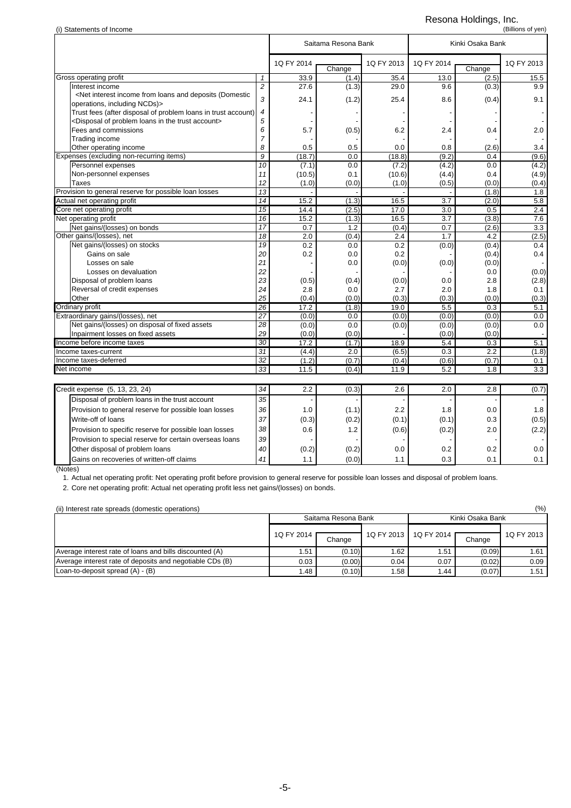### Resona Holdings, Inc.

| (i) Statements of Income                                                                                                                                                          |                 |                |                     |            |            |                  | (Billions of yen) |
|-----------------------------------------------------------------------------------------------------------------------------------------------------------------------------------|-----------------|----------------|---------------------|------------|------------|------------------|-------------------|
|                                                                                                                                                                                   |                 |                | Saitama Resona Bank |            |            | Kinki Osaka Bank |                   |
|                                                                                                                                                                                   |                 | 1Q FY 2014     | Change              | 1Q FY 2013 | 1Q FY 2014 | Change           | 1Q FY 2013        |
| Gross operating profit                                                                                                                                                            | $\mathbf{1}$    | 33.9           | (1.4)               | 35.4       | 13.0       | (2.5)            | 15.5              |
| Interest income                                                                                                                                                                   | $\overline{c}$  | 27.6           | (1.3)               | 29.0       | 9.6        | (0.3)            | 9.9               |
| <net (domestic<="" and="" deposits="" from="" income="" interest="" loans="" td=""><td>3</td><td>24.1</td><td>(1.2)</td><td>25.4</td><td>8.6</td><td>(0.4)</td><td>9.1</td></net> | 3               | 24.1           | (1.2)               | 25.4       | 8.6        | (0.4)            | 9.1               |
| operations, including NCDs)>                                                                                                                                                      |                 |                |                     |            |            |                  |                   |
| Trust fees (after disposal of problem loans in trust account)                                                                                                                     | 4               |                |                     |            |            |                  |                   |
| <disposal account="" in="" loans="" of="" problem="" the="" trust=""></disposal>                                                                                                  | 5               |                |                     |            |            |                  |                   |
| Fees and commissions                                                                                                                                                              | 6               | 5.7            | (0.5)               | 6.2        | 2.4        | 0.4              | 2.0               |
| Trading income                                                                                                                                                                    | $\overline{7}$  |                |                     |            |            |                  |                   |
| Other operating income                                                                                                                                                            | 8               | 0.5            | 0.5                 | 0.0        | 0.8        | (2.6)            | 3.4               |
| Expenses (excluding non-recurring items)                                                                                                                                          | $\overline{g}$  | (18.7)         | 0.0                 | (18.8)     | (9.2)      | 0.4              | (9.6)             |
| Personnel expenses                                                                                                                                                                | 10              | (7.1)          | 0.0                 | (7.2)      | (4.2)      | 0.0              | (4.2)             |
| Non-personnel expenses                                                                                                                                                            | 11              | (10.5)         | 0.1                 | (10.6)     | (4.4)      | 0.4              | (4.9)             |
| Taxes                                                                                                                                                                             | 12              | (1.0)          | (0.0)               | (1.0)      | (0.5)      | (0.0)            | (0.4)             |
| Provision to general reserve for possible loan losses                                                                                                                             | 13              |                |                     |            |            | (1.8)            | 1.8               |
| Actual net operating profit                                                                                                                                                       | 14              | 15.2           | (1.3)               | 16.5       | 3.7        | (2.0)            | 5.8               |
| Core net operating profit                                                                                                                                                         | 15              | 14.4           | (2.5)               | 17.0       | 3.0        | 0.5              | 2.4               |
| Net operating profit                                                                                                                                                              | 16              | 15.2           | (1.3)               | 16.5       | 3.7        | (3.8)            | 7.6               |
| Net gains/(losses) on bonds                                                                                                                                                       | $\overline{17}$ | 0.7            | 1.2                 | (0.4)      | 0.7        | (2.6)            | 3.3               |
| Other gains/(losses), net                                                                                                                                                         | 18              | 2.0            | (0.4)               | 2.4        | 1.7        | 4.2              | (2.5)             |
| Net gains/(losses) on stocks                                                                                                                                                      | 19              | 0.2            | 0.0                 | 0.2        | (0.0)      | (0.4)            | 0.4               |
| Gains on sale                                                                                                                                                                     | 20              | 0.2            | 0.0                 | 0.2        |            | (0.4)            | 0.4               |
| Losses on sale                                                                                                                                                                    | 21              |                | 0.0                 | (0.0)      | (0.0)      | (0.0)            |                   |
| Losses on devaluation                                                                                                                                                             | 22              |                |                     |            |            | 0.0              | (0.0)             |
| Disposal of problem loans                                                                                                                                                         | 23              | (0.5)          | (0.4)               | (0.0)      | 0.0        | 2.8              | (2.8)             |
| Reversal of credit expenses                                                                                                                                                       | 24              | 2.8            | 0.0                 | 2.7        | 2.0        | 1.8              | 0.1               |
| Other                                                                                                                                                                             | 25              | (0.4)          | (0.0)               | (0.3)      | (0.3)      | (0.0)            | (0.3)             |
| Ordinary profit                                                                                                                                                                   | 26              | 17.2           | (1.8)               | 19.0       | 5.5        | 0.3              | 5.1               |
| Extraordinary gains/(losses), net                                                                                                                                                 | 27<br>28        | (0.0)          | 0.0                 | (0.0)      | (0.0)      | (0.0)            | 0.0               |
| Net gains/(losses) on disposal of fixed assets                                                                                                                                    |                 | (0.0)          | 0.0                 | (0.0)      | (0.0)      | (0.0)            | 0.0               |
| Inpairment losses on fixed assets                                                                                                                                                 | 29              | (0.0)          | (0.0)               |            | (0.0)      | (0.0)            |                   |
| Income before income taxes                                                                                                                                                        | 30<br>31        | 17.2           | (1.7)               | 18.9       | 5.4        | 0.3              | 5.1               |
| Income taxes-current                                                                                                                                                              | 32              | (4.4)<br>(1.2) | 2.0                 | (6.5)      | 0.3        | 2.2              | (1.8)             |
| Income taxes-deferred                                                                                                                                                             |                 |                | (0.7)               | (0.4)      | (0.6)      | (0.7)            | 0.1               |
| Net income                                                                                                                                                                        | 33              | 11.5           | (0.4)               | 11.9       | 5.2        | 1.8              | 3.3               |
|                                                                                                                                                                                   |                 |                |                     |            |            |                  |                   |
| Credit expense (5, 13, 23, 24)                                                                                                                                                    | 34              | 2.2            | (0.3)               | 2.6        | 2.0        | 2.8              | (0.7)             |
| Disposal of problem loans in the trust account                                                                                                                                    | 35              |                |                     |            |            |                  |                   |
| Provision to general reserve for possible loan losses                                                                                                                             | 36              | 1.0            | (1.1)               | 2.2        | 1.8        | 0.0              | 1.8               |
| Write-off of loans                                                                                                                                                                | 37              | (0.3)          | (0.2)               | (0.1)      | (0.1)      | 0.3              | (0.5)             |
| Provision to specific reserve for possible loan losses                                                                                                                            | 38              | 0.6            | 1.2                 | (0.6)      | (0.2)      | 2.0              | (2.2)             |
| Provision to special reserve for certain overseas loans                                                                                                                           | 39              |                |                     |            |            |                  |                   |
| Other disposal of problem loans                                                                                                                                                   | 40              | (0.2)          | (0.2)               | 0.0        | 0.2        | 0.2              | 0.0               |
| Gains on recoveries of written-off claims                                                                                                                                         | 41              | 1.1            | (0.0)               | 1.1        | 0.3        | 0.1              | 0.1               |
|                                                                                                                                                                                   |                 |                |                     |            |            |                  |                   |

Gains on recoveries of written-off claims **41** 1.1 (0.0) 1.1 0.3 0.1 0.1 0.1 0.1 (Notes)

1. Actual net operating profit: Net operating profit before provision to general reserve for possible loan losses and disposal of problem loans.

2. Core net operating profit: Actual net operating profit less net gains/(losses) on bonds.

| (%)<br>(ii) Interest rate spreads (domestic operations)  |            |                     |            |            |                  |            |  |  |  |  |
|----------------------------------------------------------|------------|---------------------|------------|------------|------------------|------------|--|--|--|--|
|                                                          |            | Saitama Resona Bank |            |            | Kinki Osaka Bank |            |  |  |  |  |
|                                                          |            |                     |            |            |                  |            |  |  |  |  |
|                                                          | 1Q FY 2014 | Change              | 1Q FY 2013 | 1Q FY 2014 | Change           | 1Q FY 2013 |  |  |  |  |
| Average interest rate of loans and bills discounted (A)  | 1.51       | (0.10)              | 1.62       | l.51       | (0.09)           | 1.61       |  |  |  |  |
| Average interest rate of deposits and negotiable CDs (B) | 0.03       | (0.00)              | 0.04       | 0.07       | (0.02)           | 0.09       |  |  |  |  |
| Loan-to-deposit spread (A) - (B)                         | 1.48       | (0.10)              | 1.58       | .44        | (0.07)           | 1.51       |  |  |  |  |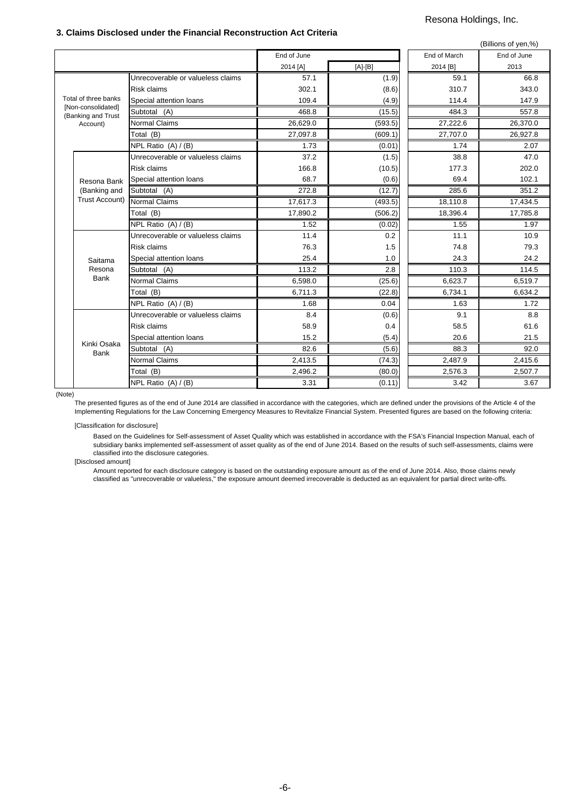#### **3. Claims Disclosed under the Financial Reconstruction Act Criteria**

#### Resona Holdings, Inc.

|                                          |                                         |             |           |              | (Billions of yen,%) |
|------------------------------------------|-----------------------------------------|-------------|-----------|--------------|---------------------|
|                                          |                                         | End of June |           | End of March | End of June         |
|                                          |                                         | 2014 [A]    | $[A]-[B]$ | 2014 [B]     | 2013                |
|                                          | Unrecoverable or valueless claims       | 57.1        | (1.9)     | 59.1         | 66.8                |
|                                          | <b>Risk claims</b>                      | 302.1       | (8.6)     | 310.7        | 343.0               |
| Total of three banks                     | Special attention loans                 | 109.4       | (4.9)     | 114.4        | 147.9               |
| [Non-consolidated]<br>(Banking and Trust | Subtotal (A)                            | 468.8       | (15.5)    | 484.3        | 557.8               |
| Account)                                 | <b>Normal Claims</b>                    | 26,629.0    | (593.5)   | 27,222.6     | 26,370.0            |
|                                          | Total (B)                               | 27,097.8    | (609.1)   | 27,707.0     | 26,927.8            |
|                                          | $\overline{\text{NPL}}$ Ratio (A) / (B) | 1.73        | (0.01)    | 1.74         | 2.07                |
|                                          | Unrecoverable or valueless claims       | 37.2        | (1.5)     | 38.8         | 47.0                |
|                                          | <b>Risk claims</b>                      | 166.8       | (10.5)    | 177.3        | 202.0               |
| Resona Bank                              | Special attention loans                 | 68.7        | (0.6)     | 69.4         | 102.1               |
| (Banking and                             | Subtotal (A)                            | 272.8       | (12.7)    | 285.6        | 351.2               |
| <b>Trust Account)</b>                    | Normal Claims                           | 17,617.3    | (493.5)   | 18,110.8     | 17,434.5            |
|                                          | Total (B)                               | 17,890.2    | (506.2)   | 18,396.4     | 17,785.8            |
|                                          | NPL Ratio (A) / (B)                     | 1.52        | (0.02)    | 1.55         | 1.97                |
|                                          | Unrecoverable or valueless claims       | 11.4        | 0.2       | 11.1         | 10.9                |
|                                          | <b>Risk claims</b>                      | 76.3        | 1.5       | 74.8         | 79.3                |
| Saitama                                  | Special attention loans                 | 25.4        | 1.0       | 24.3         | 24.2                |
| Resona                                   | Subtotal (A)                            | 113.2       | 2.8       | 110.3        | 114.5               |
| <b>Bank</b>                              | <b>Normal Claims</b>                    | 6,598.0     | (25.6)    | 6,623.7      | 6,519.7             |
|                                          | Total (B)                               | 6,711.3     | (22.8)    | 6,734.1      | 6,634.2             |
|                                          | NPL Ratio (A) / (B)                     | 1.68        | 0.04      | 1.63         | 1.72                |
|                                          | Unrecoverable or valueless claims       | 8.4         | (0.6)     | 9.1          | 8.8                 |
|                                          | <b>Risk claims</b>                      | 58.9        | 0.4       | 58.5         | 61.6                |
|                                          | Special attention loans                 | 15.2        | (5.4)     | 20.6         | 21.5                |
| Kinki Osaka<br>Bank                      | Subtotal (A)                            | 82.6        | (5.6)     | 88.3         | 92.0                |
|                                          | Normal Claims                           | 2,413.5     | (74.3)    | 2,487.9      | 2,415.6             |
|                                          | Total (B)                               | 2,496.2     | (80.0)    | 2,576.3      | 2,507.7             |
|                                          | NPL Ratio (A) / (B)                     | 3.31        | (0.11)    | 3.42         | 3.67                |

(Note)

The presented figures as of the end of June 2014 are classified in accordance with the categories, which are defined under the provisions of the Article 4 of the Implementing Regulations for the Law Concerning Emergency Measures to Revitalize Financial System. Presented figures are based on the following criteria:

[Classification for disclosure]

Based on the Guidelines for Self-assessment of Asset Quality which was established in accordance with the FSA's Financial Inspection Manual, each of subsidiary banks implemented self-assessment of asset quality as of the end of June 2014. Based on the results of such self-assessments, claims were classified into the disclosure categories.

[Disclosed amount]

Amount reported for each disclosure category is based on the outstanding exposure amount as of the end of June 2014. Also, those claims newly classified as "unrecoverable or valueless," the exposure amount deemed irrecoverable is deducted as an equivalent for partial direct write-offs.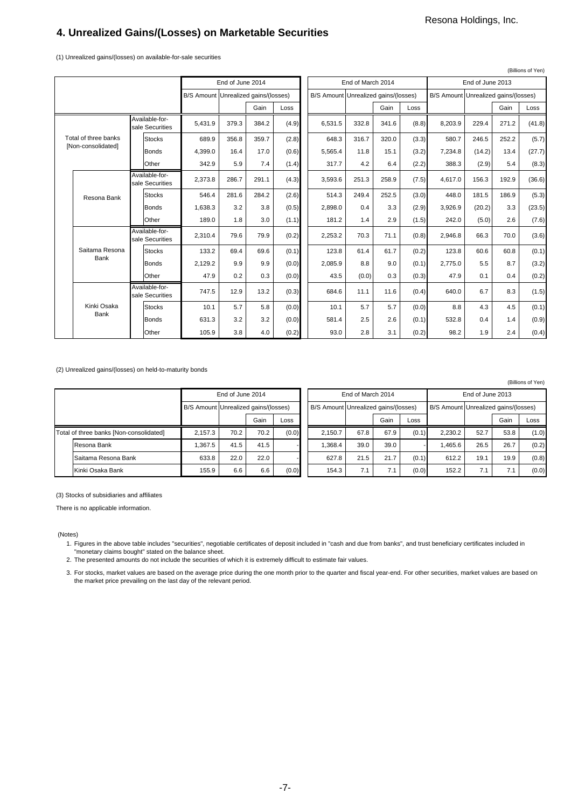(Billions of Yen)

# **4. Unrealized Gains/(Losses) on Marketable Securities**

(1) Unrealized gains/(losses) on available-for-sale securities

|  |                      |                                   |                                      |       |                   |       |                                      |       |                  |       |                                      |        |       | (Billions of Yen) |
|--|----------------------|-----------------------------------|--------------------------------------|-------|-------------------|-------|--------------------------------------|-------|------------------|-------|--------------------------------------|--------|-------|-------------------|
|  |                      |                                   | End of June 2014                     |       | End of March 2014 |       |                                      |       | End of June 2013 |       |                                      |        |       |                   |
|  |                      |                                   | B/S Amount Unrealized gains/(losses) |       |                   |       | B/S Amount Unrealized gains/(losses) |       |                  |       | B/S Amount Unrealized gains/(losses) |        |       |                   |
|  |                      |                                   |                                      |       | Gain              | Loss  |                                      |       | Gain             | Loss  |                                      |        | Gain  | Loss              |
|  |                      | Available-for-<br>sale Securities | 5,431.9                              | 379.3 | 384.2             | (4.9) | 6.531.5                              | 332.8 | 341.6            | (8.8) | 8.203.9                              | 229.4  | 271.2 | (41.8)            |
|  | Total of three banks | <b>Stocks</b>                     | 689.9                                | 356.8 | 359.7             | (2.8) | 648.3                                | 316.7 | 320.0            | (3.3) | 580.7                                | 246.5  | 252.2 | (5.7)             |
|  | [Non-consolidated]   | <b>Bonds</b>                      | 4.399.0                              | 16.4  | 17.0              | (0.6) | 5.565.4                              | 11.8  | 15.1             | (3.2) | 7.234.8                              | (14.2) | 13.4  | (27.7)            |
|  |                      | Other                             | 342.9                                | 5.9   | 7.4               | (1.4) | 317.7                                | 4.2   | 6.4              | (2.2) | 388.3                                | (2.9)  | 5.4   | (8.3)             |
|  | Resona Bank          | Available-for-<br>sale Securities | 2,373.8                              | 286.7 | 291.1             | (4.3) | 3.593.6                              | 251.3 | 258.9            | (7.5) | 4.617.0                              | 156.3  | 192.9 | (36.6)            |
|  |                      | <b>Stocks</b>                     | 546.4                                | 281.6 | 284.2             | (2.6) | 514.3                                | 249.4 | 252.5            | (3.0) | 448.0                                | 181.5  | 186.9 | (5.3)             |
|  |                      | <b>Bonds</b>                      | 1.638.3                              | 3.2   | 3.8               | (0.5) | 2.898.0                              | 0.4   | 3.3              | (2.9) | 3,926.9                              | (20.2) | 3.3   | (23.5)            |
|  |                      | Other                             | 189.0                                | 1.8   | 3.0               | (1.1) | 181.2                                | 1.4   | 2.9              | (1.5) | 242.0                                | (5.0)  | 2.6   | (7.6)             |
|  |                      | Available-for-<br>sale Securities | 2.310.4                              | 79.6  | 79.9              | (0.2) | 2,253.2                              | 70.3  | 71.1             | (0.8) | 2.946.8                              | 66.3   | 70.0  | (3.6)             |
|  | Saitama Resona       | <b>Stocks</b>                     | 133.2                                | 69.4  | 69.6              | (0.1) | 123.8                                | 61.4  | 61.7             | (0.2) | 123.8                                | 60.6   | 60.8  | (0.1)             |
|  | Bank                 | <b>Bonds</b>                      | 2,129.2                              | 9.9   | 9.9               | (0.0) | 2,085.9                              | 8.8   | 9.0              | (0.1) | 2.775.0                              | 5.5    | 8.7   | (3.2)             |
|  |                      | Other                             | 47.9                                 | 0.2   | 0.3               | (0.0) | 43.5                                 | (0.0) | 0.3              | (0.3) | 47.9                                 | 0.1    | 0.4   | (0.2)             |
|  |                      | Available-for-<br>sale Securities | 747.5                                | 12.9  | 13.2              | (0.3) | 684.6                                | 11.1  | 11.6             | (0.4) | 640.0                                | 6.7    | 8.3   | (1.5)             |
|  | Kinki Osaka          | <b>Stocks</b>                     | 10.1                                 | 5.7   | 5.8               | (0.0) | 10.1                                 | 5.7   | 5.7              | (0.0) | 8.8                                  | 4.3    | 4.5   | (0.1)             |
|  | Bank                 | <b>Bonds</b>                      | 631.3                                | 3.2   | 3.2               | (0.0) | 581.4                                | 2.5   | 2.6              | (0.1) | 532.8                                | 0.4    | 1.4   | (0.9)             |
|  |                      | Other                             | 105.9                                | 3.8   | 4.0               | (0.2) | 93.0                                 | 2.8   | 3.1              | (0.2) | 98.2                                 | 1.9    | 2.4   | (0.4)             |

(2) Unrealized gains/(losses) on held-to-maturity bonds

|                                         |         |                  |                                      |       |  |                                      |                   |      |       |                                      |      |      | 1011101130110111 |
|-----------------------------------------|---------|------------------|--------------------------------------|-------|--|--------------------------------------|-------------------|------|-------|--------------------------------------|------|------|------------------|
|                                         |         | End of June 2014 |                                      |       |  |                                      | End of March 2014 |      |       | End of June 2013                     |      |      |                  |
|                                         |         |                  | B/S Amount Unrealized gains/(losses) |       |  | B/S Amount Unrealized gains/(losses) |                   |      |       | B/S Amount Unrealized gains/(losses) |      |      |                  |
|                                         |         |                  | Gain                                 | Loss  |  |                                      |                   | Gain | Loss  |                                      |      | Gain | Loss             |
| Total of three banks [Non-consolidated] |         | 70.2             | 70.2                                 | (0.0) |  | 2.150.7                              | 67.8              | 67.9 | (0.1) | 2.230.2                              | 52.7 | 53.8 | (1.0)            |
| Resona Bank                             | 1.367.5 | 41.5             | 41.5                                 |       |  | 1.368.4                              | 39.0              | 39.0 |       | 1.465.6                              | 26.5 | 26.7 | (0.2)            |
| Saitama Resona Bank                     | 633.8   | 22.0             | 22.0                                 |       |  | 627.8                                | 21.5              | 21.7 | (0.1) | 612.2                                | 19.1 | 19.9 | (0.8)            |
| Kinki Osaka Bank                        | 155.9   | 6.6              | 6.6                                  | (0.0) |  | 154.3                                | 7.1               | 7.1  | (0.0) | 152.2                                | 7.1  | 7.1  | (0.0)            |

(3) Stocks of subsidiaries and affiliates

There is no applicable information.

#### (Notes)

1. Figures in the above table includes "securities", negotiable certificates of deposit included in "cash and due from banks", and trust beneficiary certificates included in "monetary claims bought" stated on the balance sheet.

2. The presented amounts do not include the securities of which it is extremely difficult to estimate fair values.

3. For stocks, market values are based on the average price during the one month prior to the quarter and fiscal year-end. For other securities, market values are based on the market price prevailing on the last day of the relevant period.